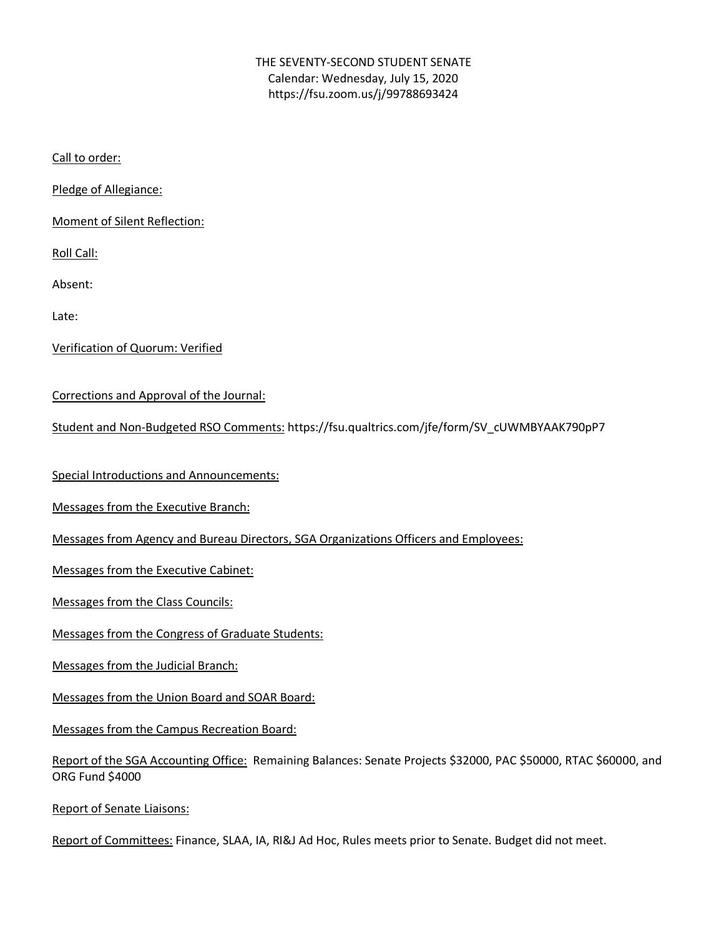## THE SEVENTY-SECOND STUDENT SENATE Calendar: Wednesday, July 15, 2020 https://fsu.zoom.us/j/99788693424

Call to order:

Pledge of Allegiance:

Moment of Silent Reflection:

Roll Call:

Absent:

Late:

Verification of Quorum: Verified

Corrections and Approval of the Journal:

Student and Non-Budgeted RSO Comments: https://fsu.qualtrics.com/jfe/form/SV\_cUWMBYAAK790pP7

Special Introductions and Announcements:

Messages from the Executive Branch:

Messages from Agency and Bureau Directors, SGA Organizations Officers and Employees:

Messages from the Executive Cabinet:

Messages from the Class Councils:

Messages from the Congress of Graduate Students:

Messages from the Judicial Branch:

Messages from the Union Board and SOAR Board:

Messages from the Campus Recreation Board:

Report of the SGA Accounting Office: Remaining Balances: Senate Projects \$32000, PAC \$50000, RTAC \$60000, and ORG Fund \$4000

Report of Senate Liaisons:

Report of Committees: Finance, SLAA, IA, RI&J Ad Hoc, Rules meets prior to Senate. Budget did not meet.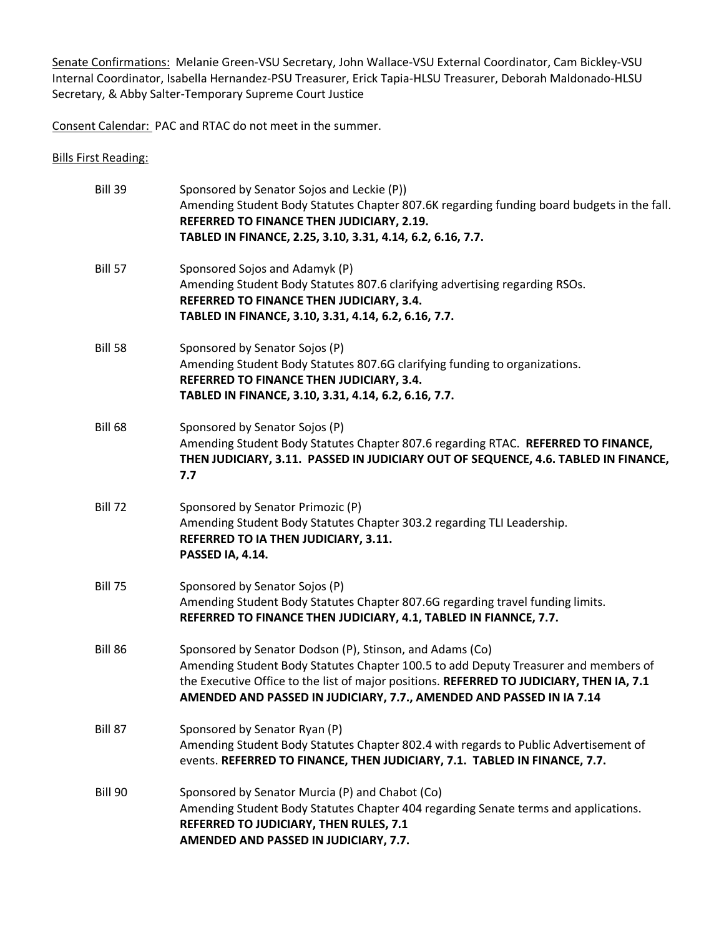Senate Confirmations: Melanie Green-VSU Secretary, John Wallace-VSU External Coordinator, Cam Bickley-VSU Internal Coordinator, Isabella Hernandez-PSU Treasurer, Erick Tapia-HLSU Treasurer, Deborah Maldonado-HLSU Secretary, & Abby Salter-Temporary Supreme Court Justice

Consent Calendar: PAC and RTAC do not meet in the summer.

Bills First Reading:

| Bill 39        | Sponsored by Senator Sojos and Leckie (P))<br>Amending Student Body Statutes Chapter 807.6K regarding funding board budgets in the fall.<br>REFERRED TO FINANCE THEN JUDICIARY, 2.19.<br>TABLED IN FINANCE, 2.25, 3.10, 3.31, 4.14, 6.2, 6.16, 7.7.                                                                 |
|----------------|---------------------------------------------------------------------------------------------------------------------------------------------------------------------------------------------------------------------------------------------------------------------------------------------------------------------|
| <b>Bill 57</b> | Sponsored Sojos and Adamyk (P)<br>Amending Student Body Statutes 807.6 clarifying advertising regarding RSOs.<br>REFERRED TO FINANCE THEN JUDICIARY, 3.4.<br>TABLED IN FINANCE, 3.10, 3.31, 4.14, 6.2, 6.16, 7.7.                                                                                                   |
| <b>Bill 58</b> | Sponsored by Senator Sojos (P)<br>Amending Student Body Statutes 807.6G clarifying funding to organizations.<br>REFERRED TO FINANCE THEN JUDICIARY, 3.4.<br>TABLED IN FINANCE, 3.10, 3.31, 4.14, 6.2, 6.16, 7.7.                                                                                                    |
| <b>Bill 68</b> | Sponsored by Senator Sojos (P)<br>Amending Student Body Statutes Chapter 807.6 regarding RTAC. REFERRED TO FINANCE,<br>THEN JUDICIARY, 3.11. PASSED IN JUDICIARY OUT OF SEQUENCE, 4.6. TABLED IN FINANCE,<br>7.7                                                                                                    |
| <b>Bill 72</b> | Sponsored by Senator Primozic (P)<br>Amending Student Body Statutes Chapter 303.2 regarding TLI Leadership.<br>REFERRED TO IA THEN JUDICIARY, 3.11.<br>PASSED IA, 4.14.                                                                                                                                             |
| <b>Bill 75</b> | Sponsored by Senator Sojos (P)<br>Amending Student Body Statutes Chapter 807.6G regarding travel funding limits.<br>REFERRED TO FINANCE THEN JUDICIARY, 4.1, TABLED IN FIANNCE, 7.7.                                                                                                                                |
| Bill 86        | Sponsored by Senator Dodson (P), Stinson, and Adams (Co)<br>Amending Student Body Statutes Chapter 100.5 to add Deputy Treasurer and members of<br>the Executive Office to the list of major positions. REFERRED TO JUDICIARY, THEN IA, 7.1<br>AMENDED AND PASSED IN JUDICIARY, 7.7., AMENDED AND PASSED IN IA 7.14 |
| Bill 87        | Sponsored by Senator Ryan (P)<br>Amending Student Body Statutes Chapter 802.4 with regards to Public Advertisement of<br>events. REFERRED TO FINANCE, THEN JUDICIARY, 7.1. TABLED IN FINANCE, 7.7.                                                                                                                  |
| Bill 90        | Sponsored by Senator Murcia (P) and Chabot (Co)<br>Amending Student Body Statutes Chapter 404 regarding Senate terms and applications.<br>REFERRED TO JUDICIARY, THEN RULES, 7.1<br>AMENDED AND PASSED IN JUDICIARY, 7.7.                                                                                           |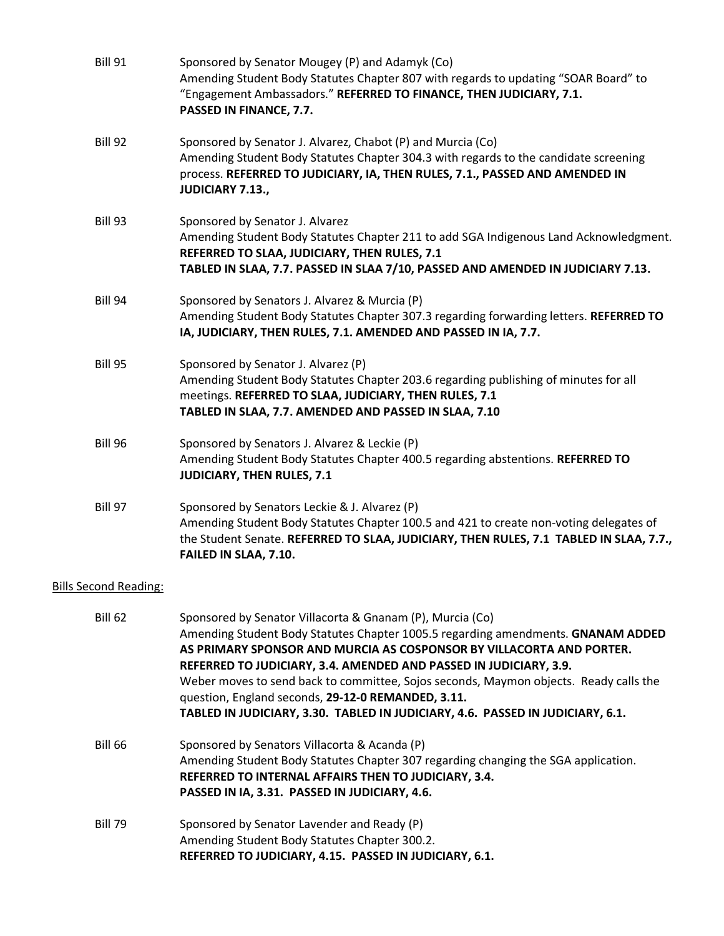| <b>Bill 91</b>               | Sponsored by Senator Mougey (P) and Adamyk (Co)<br>Amending Student Body Statutes Chapter 807 with regards to updating "SOAR Board" to<br>"Engagement Ambassadors." REFERRED TO FINANCE, THEN JUDICIARY, 7.1.<br>PASSED IN FINANCE, 7.7.                                                                                                                                            |
|------------------------------|-------------------------------------------------------------------------------------------------------------------------------------------------------------------------------------------------------------------------------------------------------------------------------------------------------------------------------------------------------------------------------------|
| Bill 92                      | Sponsored by Senator J. Alvarez, Chabot (P) and Murcia (Co)<br>Amending Student Body Statutes Chapter 304.3 with regards to the candidate screening<br>process. REFERRED TO JUDICIARY, IA, THEN RULES, 7.1., PASSED AND AMENDED IN<br><b>JUDICIARY 7.13.,</b>                                                                                                                       |
| Bill 93                      | Sponsored by Senator J. Alvarez<br>Amending Student Body Statutes Chapter 211 to add SGA Indigenous Land Acknowledgment.<br>REFERRED TO SLAA, JUDICIARY, THEN RULES, 7.1<br>TABLED IN SLAA, 7.7. PASSED IN SLAA 7/10, PASSED AND AMENDED IN JUDICIARY 7.13.                                                                                                                         |
| Bill 94                      | Sponsored by Senators J. Alvarez & Murcia (P)<br>Amending Student Body Statutes Chapter 307.3 regarding forwarding letters. REFERRED TO<br>IA, JUDICIARY, THEN RULES, 7.1. AMENDED AND PASSED IN IA, 7.7.                                                                                                                                                                           |
| <b>Bill 95</b>               | Sponsored by Senator J. Alvarez (P)<br>Amending Student Body Statutes Chapter 203.6 regarding publishing of minutes for all<br>meetings. REFERRED TO SLAA, JUDICIARY, THEN RULES, 7.1<br>TABLED IN SLAA, 7.7. AMENDED AND PASSED IN SLAA, 7.10                                                                                                                                      |
| <b>Bill 96</b>               | Sponsored by Senators J. Alvarez & Leckie (P)<br>Amending Student Body Statutes Chapter 400.5 regarding abstentions. REFERRED TO<br>JUDICIARY, THEN RULES, 7.1                                                                                                                                                                                                                      |
| <b>Bill 97</b>               | Sponsored by Senators Leckie & J. Alvarez (P)<br>Amending Student Body Statutes Chapter 100.5 and 421 to create non-voting delegates of<br>the Student Senate. REFERRED TO SLAA, JUDICIARY, THEN RULES, 7.1 TABLED IN SLAA, 7.7.,<br>FAILED IN SLAA, 7.10.                                                                                                                          |
| <b>Bills Second Reading:</b> |                                                                                                                                                                                                                                                                                                                                                                                     |
| <b>Bill 62</b>               | Sponsored by Senator Villacorta & Gnanam (P), Murcia (Co)<br>Amending Student Body Statutes Chapter 1005.5 regarding amendments. GNANAM ADDED<br>AS PRIMARY SPONSOR AND MURCIA AS COSPONSOR BY VILLACORTA AND PORTER.<br>REFERRED TO JUDICIARY, 3.4. AMENDED AND PASSED IN JUDICIARY, 3.9.<br>Weber moves to send back to committee, Sojos seconds, Maymon objects. Ready calls the |

Bill 66 Sponsored by Senators Villacorta & Acanda (P) Amending Student Body Statutes Chapter 307 regarding changing the SGA application. **REFERRED TO INTERNAL AFFAIRS THEN TO JUDICIARY, 3.4. PASSED IN IA, 3.31. PASSED IN JUDICIARY, 4.6.**

**TABLED IN JUDICIARY, 3.30. TABLED IN JUDICIARY, 4.6. PASSED IN JUDICIARY, 6.1.**

question, England seconds, **29-12-0 REMANDED, 3.11.**

Bill 79 Sponsored by Senator Lavender and Ready (P) Amending Student Body Statutes Chapter 300.2. **REFERRED TO JUDICIARY, 4.15. PASSED IN JUDICIARY, 6.1.**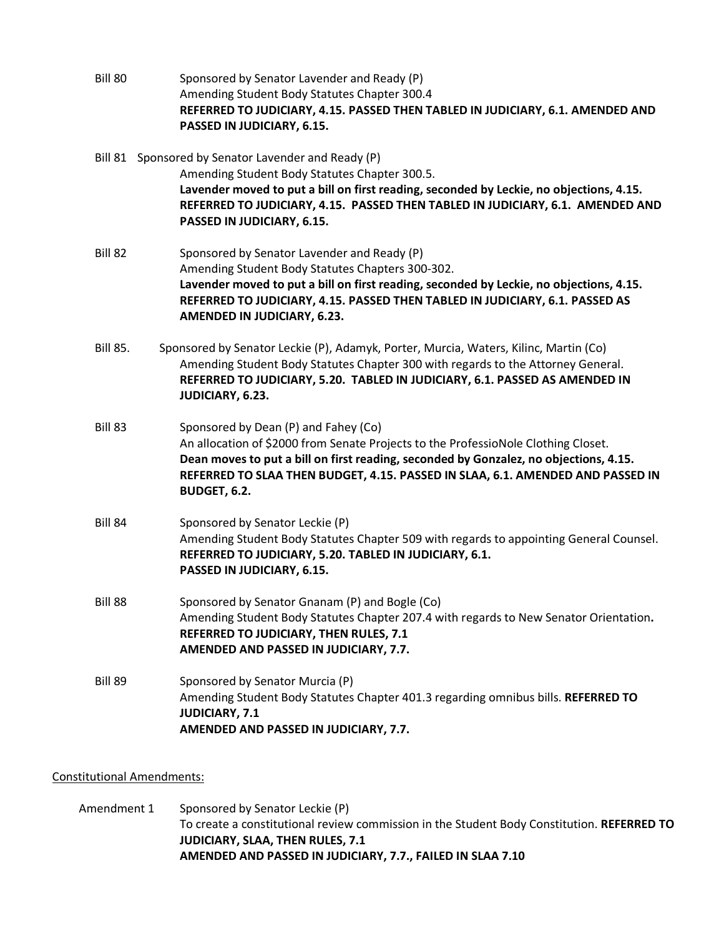Bill 80 Sponsored by Senator Lavender and Ready (P) Amending Student Body Statutes Chapter 300.4 **REFERRED TO JUDICIARY, 4.15. PASSED THEN TABLED IN JUDICIARY, 6.1. AMENDED AND PASSED IN JUDICIARY, 6.15.**

Bill 81 Sponsored by Senator Lavender and Ready (P) Amending Student Body Statutes Chapter 300.5. **Lavender moved to put a bill on first reading, seconded by Leckie, no objections, 4.15. REFERRED TO JUDICIARY, 4.15. PASSED THEN TABLED IN JUDICIARY, 6.1. AMENDED AND PASSED IN JUDICIARY, 6.15.**

- Bill 82 Sponsored by Senator Lavender and Ready (P) Amending Student Body Statutes Chapters 300-302. **Lavender moved to put a bill on first reading, seconded by Leckie, no objections, 4.15. REFERRED TO JUDICIARY, 4.15. PASSED THEN TABLED IN JUDICIARY, 6.1. PASSED AS AMENDED IN JUDICIARY, 6.23.**
- Bill 85. Sponsored by Senator Leckie (P), Adamyk, Porter, Murcia, Waters, Kilinc, Martin (Co) Amending Student Body Statutes Chapter 300 with regards to the Attorney General. **REFERRED TO JUDICIARY, 5.20. TABLED IN JUDICIARY, 6.1. PASSED AS AMENDED IN JUDICIARY, 6.23.**
- Bill 83 Sponsored by Dean (P) and Fahey (Co) An allocation of \$2000 from Senate Projects to the ProfessioNole Clothing Closet. **Dean moves to put a bill on first reading, seconded by Gonzalez, no objections, 4.15. REFERRED TO SLAA THEN BUDGET, 4.15. PASSED IN SLAA, 6.1. AMENDED AND PASSED IN BUDGET, 6.2.**
- Bill 84 Sponsored by Senator Leckie (P) Amending Student Body Statutes Chapter 509 with regards to appointing General Counsel. **REFERRED TO JUDICIARY, 5.20. TABLED IN JUDICIARY, 6.1. PASSED IN JUDICIARY, 6.15.**
- Bill 88 Sponsored by Senator Gnanam (P) and Bogle (Co) Amending Student Body Statutes Chapter 207.4 with regards to New Senator Orientation**. REFERRED TO JUDICIARY, THEN RULES, 7.1 AMENDED AND PASSED IN JUDICIARY, 7.7.**
- Bill 89 Sponsored by Senator Murcia (P) Amending Student Body Statutes Chapter 401.3 regarding omnibus bills. **REFERRED TO JUDICIARY, 7.1 AMENDED AND PASSED IN JUDICIARY, 7.7.**

Constitutional Amendments:

Amendment 1 Sponsored by Senator Leckie (P) To create a constitutional review commission in the Student Body Constitution. **REFERRED TO JUDICIARY, SLAA, THEN RULES, 7.1 AMENDED AND PASSED IN JUDICIARY, 7.7., FAILED IN SLAA 7.10**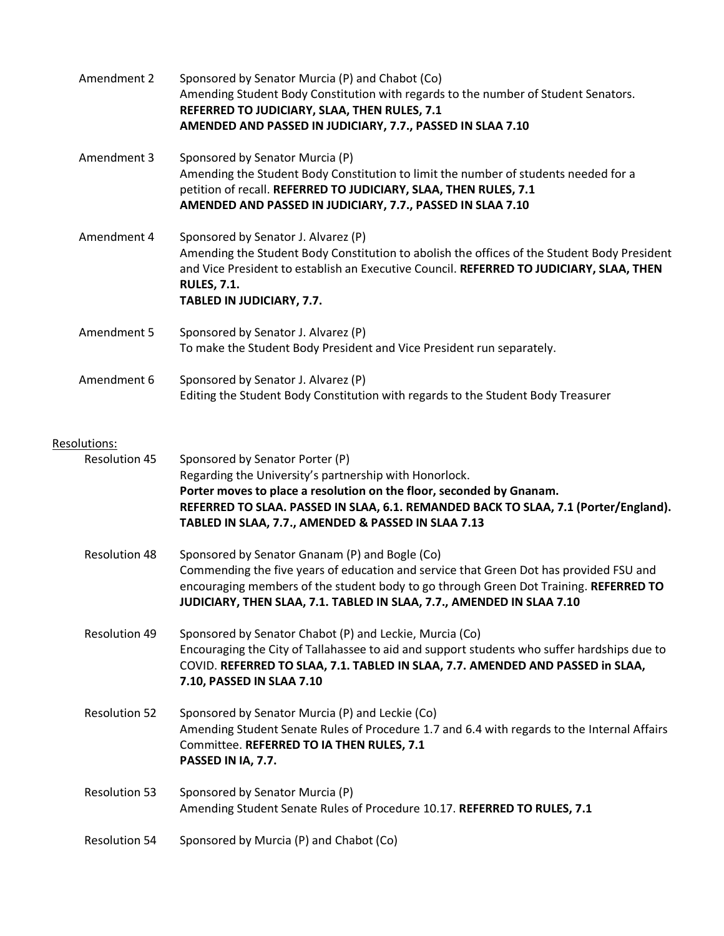| Amendment 2                          | Sponsored by Senator Murcia (P) and Chabot (Co)<br>Amending Student Body Constitution with regards to the number of Student Senators.<br>REFERRED TO JUDICIARY, SLAA, THEN RULES, 7.1<br>AMENDED AND PASSED IN JUDICIARY, 7.7., PASSED IN SLAA 7.10                                                             |
|--------------------------------------|-----------------------------------------------------------------------------------------------------------------------------------------------------------------------------------------------------------------------------------------------------------------------------------------------------------------|
| Amendment 3                          | Sponsored by Senator Murcia (P)<br>Amending the Student Body Constitution to limit the number of students needed for a<br>petition of recall. REFERRED TO JUDICIARY, SLAA, THEN RULES, 7.1<br>AMENDED AND PASSED IN JUDICIARY, 7.7., PASSED IN SLAA 7.10                                                        |
| Amendment 4                          | Sponsored by Senator J. Alvarez (P)<br>Amending the Student Body Constitution to abolish the offices of the Student Body President<br>and Vice President to establish an Executive Council. REFERRED TO JUDICIARY, SLAA, THEN<br><b>RULES, 7.1.</b><br>TABLED IN JUDICIARY, 7.7.                                |
| Amendment 5                          | Sponsored by Senator J. Alvarez (P)<br>To make the Student Body President and Vice President run separately.                                                                                                                                                                                                    |
| Amendment 6                          | Sponsored by Senator J. Alvarez (P)<br>Editing the Student Body Constitution with regards to the Student Body Treasurer                                                                                                                                                                                         |
| Resolutions:<br><b>Resolution 45</b> | Sponsored by Senator Porter (P)<br>Regarding the University's partnership with Honorlock.<br>Porter moves to place a resolution on the floor, seconded by Gnanam.<br>REFERRED TO SLAA. PASSED IN SLAA, 6.1. REMANDED BACK TO SLAA, 7.1 (Porter/England).<br>TABLED IN SLAA, 7.7., AMENDED & PASSED IN SLAA 7.13 |
| <b>Resolution 48</b>                 | Sponsored by Senator Gnanam (P) and Bogle (Co)<br>Commending the five years of education and service that Green Dot has provided FSU and<br>encouraging members of the student body to go through Green Dot Training. REFERRED TO<br>JUDICIARY, THEN SLAA, 7.1. TABLED IN SLAA, 7.7., AMENDED IN SLAA 7.10      |
| Resolution 49                        | Sponsored by Senator Chabot (P) and Leckie, Murcia (Co)<br>Encouraging the City of Tallahassee to aid and support students who suffer hardships due to<br>COVID. REFERRED TO SLAA, 7.1. TABLED IN SLAA, 7.7. AMENDED AND PASSED in SLAA,<br>7.10, PASSED IN SLAA 7.10                                           |
| <b>Resolution 52</b>                 | Sponsored by Senator Murcia (P) and Leckie (Co)<br>Amending Student Senate Rules of Procedure 1.7 and 6.4 with regards to the Internal Affairs<br>Committee. REFERRED TO IA THEN RULES, 7.1<br>PASSED IN IA, 7.7.                                                                                               |
| <b>Resolution 53</b>                 | Sponsored by Senator Murcia (P)<br>Amending Student Senate Rules of Procedure 10.17. REFERRED TO RULES, 7.1                                                                                                                                                                                                     |
| <b>Resolution 54</b>                 | Sponsored by Murcia (P) and Chabot (Co)                                                                                                                                                                                                                                                                         |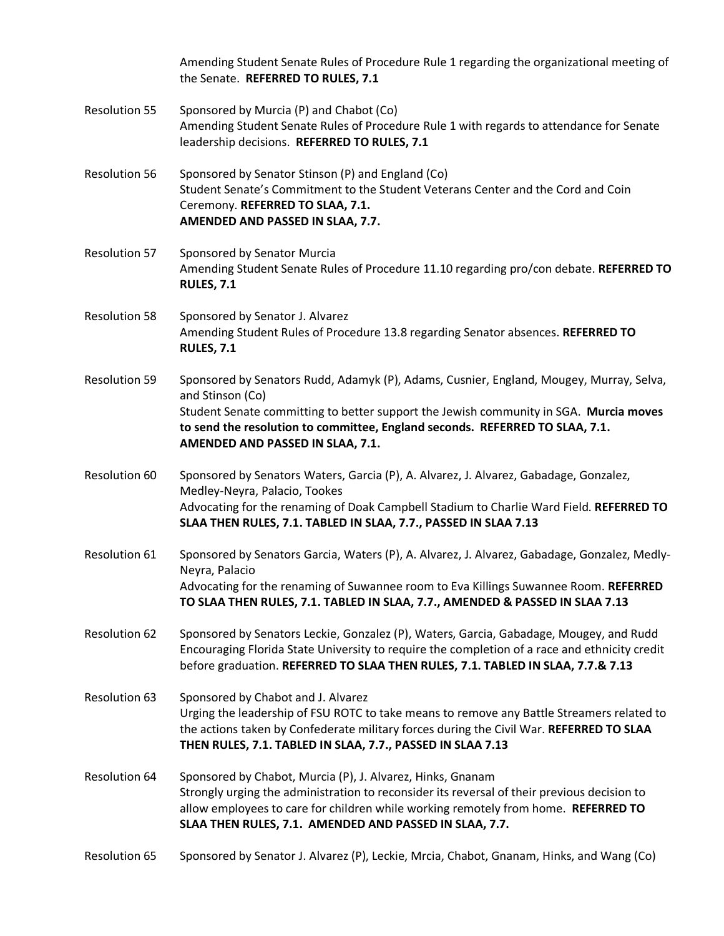Amending Student Senate Rules of Procedure Rule 1 regarding the organizational meeting of the Senate. **REFERRED TO RULES, 7.1**

- Resolution 55 Sponsored by Murcia (P) and Chabot (Co) Amending Student Senate Rules of Procedure Rule 1 with regards to attendance for Senate leadership decisions. **REFERRED TO RULES, 7.1**
- Resolution 56 Sponsored by Senator Stinson (P) and England (Co) Student Senate's Commitment to the Student Veterans Center and the Cord and Coin Ceremony. **REFERRED TO SLAA, 7.1. AMENDED AND PASSED IN SLAA, 7.7.**
- Resolution 57 Sponsored by Senator Murcia Amending Student Senate Rules of Procedure 11.10 regarding pro/con debate. **REFERRED TO RULES, 7.1**
- Resolution 58 Sponsored by Senator J. Alvarez Amending Student Rules of Procedure 13.8 regarding Senator absences. **REFERRED TO RULES, 7.1**
- Resolution 59 Sponsored by Senators Rudd, Adamyk (P), Adams, Cusnier, England, Mougey, Murray, Selva, and Stinson (Co) Student Senate committing to better support the Jewish community in SGA. **Murcia moves to send the resolution to committee, England seconds. REFERRED TO SLAA, 7.1. AMENDED AND PASSED IN SLAA, 7.1.**
- Resolution 60 Sponsored by Senators Waters, Garcia (P), A. Alvarez, J. Alvarez, Gabadage, Gonzalez, Medley-Neyra, Palacio, Tookes Advocating for the renaming of Doak Campbell Stadium to Charlie Ward Field. **REFERRED TO SLAA THEN RULES, 7.1. TABLED IN SLAA, 7.7., PASSED IN SLAA 7.13**
- Resolution 61 Sponsored by Senators Garcia, Waters (P), A. Alvarez, J. Alvarez, Gabadage, Gonzalez, Medly-Neyra, Palacio Advocating for the renaming of Suwannee room to Eva Killings Suwannee Room. **REFERRED TO SLAA THEN RULES, 7.1. TABLED IN SLAA, 7.7., AMENDED & PASSED IN SLAA 7.13**
- Resolution 62 Sponsored by Senators Leckie, Gonzalez (P), Waters, Garcia, Gabadage, Mougey, and Rudd Encouraging Florida State University to require the completion of a race and ethnicity credit before graduation. **REFERRED TO SLAA THEN RULES, 7.1. TABLED IN SLAA, 7.7.& 7.13**
- Resolution 63 Sponsored by Chabot and J. Alvarez Urging the leadership of FSU ROTC to take means to remove any Battle Streamers related to the actions taken by Confederate military forces during the Civil War. **REFERRED TO SLAA THEN RULES, 7.1. TABLED IN SLAA, 7.7., PASSED IN SLAA 7.13**
- Resolution 64 Sponsored by Chabot, Murcia (P), J. Alvarez, Hinks, Gnanam Strongly urging the administration to reconsider its reversal of their previous decision to allow employees to care for children while working remotely from home. **REFERRED TO SLAA THEN RULES, 7.1. AMENDED AND PASSED IN SLAA, 7.7.**
- Resolution 65 Sponsored by Senator J. Alvarez (P), Leckie, Mrcia, Chabot, Gnanam, Hinks, and Wang (Co)